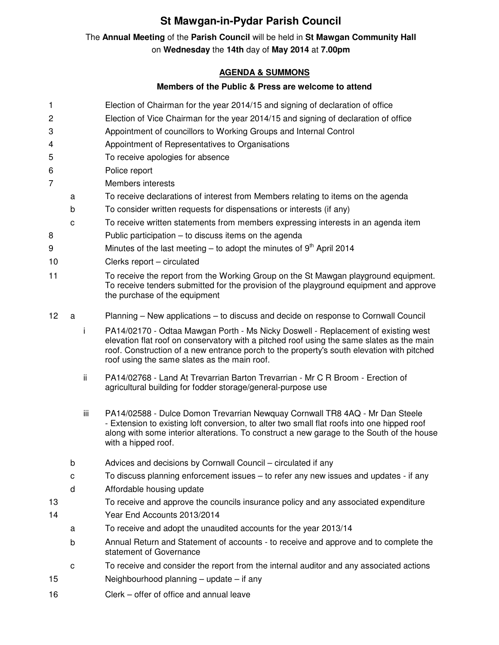## **St Mawgan-in-Pydar Parish Council**

## The **Annual Meeting** of the **Parish Council** will be held in **St Mawgan Community Hall** on **Wednesday** the **14th** day of **May 2014** at **7.00pm**

## **AGENDA & SUMMONS**

## **Members of the Public & Press are welcome to attend**

- 1 Election of Chairman for the year 2014/15 and signing of declaration of office
- 2 Election of Vice Chairman for the year 2014/15 and signing of declaration of office
- 3 Appointment of councillors to Working Groups and Internal Control
- 4 Appointment of Representatives to Organisations
- 5 To receive apologies for absence
- 6 Police report
- 7 Members interests
	- a To receive declarations of interest from Members relating to items on the agenda
	- b To consider written requests for dispensations or interests (if any)
	- c To receive written statements from members expressing interests in an agenda item
- 8 Public participation to discuss items on the agenda
- 9 Minutes of the last meeting to adopt the minutes of  $9<sup>th</sup>$  April 2014
- 10 Clerks report circulated
- 11 To receive the report from the Working Group on the St Mawgan playground equipment. To receive tenders submitted for the provision of the playground equipment and approve the purchase of the equipment
- 12 a Planning New applications to discuss and decide on response to Cornwall Council
	- i PA14/02170 Odtaa Mawgan Porth Ms Nicky Doswell Replacement of existing west elevation flat roof on conservatory with a pitched roof using the same slates as the main roof. Construction of a new entrance porch to the property's south elevation with pitched roof using the same slates as the main roof.
	- ii PA14/02768 Land At Trevarrian Barton Trevarrian Mr C R Broom Erection of agricultural building for fodder storage/general-purpose use
	- iii PA14/02588 Dulce Domon Trevarrian Newquay Cornwall TR8 4AQ Mr Dan Steele - Extension to existing loft conversion, to alter two small flat roofs into one hipped roof along with some interior alterations. To construct a new garage to the South of the house with a hipped roof.
	- b Advices and decisions by Cornwall Council circulated if any
	- c To discuss planning enforcement issues to refer any new issues and updates if any
	- d Affordable housing update
- 13 To receive and approve the councils insurance policy and any associated expenditure 14 Year End Accounts 2013/2014
	- a To receive and adopt the unaudited accounts for the year 2013/14
	- b Annual Return and Statement of accounts to receive and approve and to complete the statement of Governance
	- c To receive and consider the report from the internal auditor and any associated actions
- 15 Neighbourhood planning update if any
- 16 Clerk offer of office and annual leave